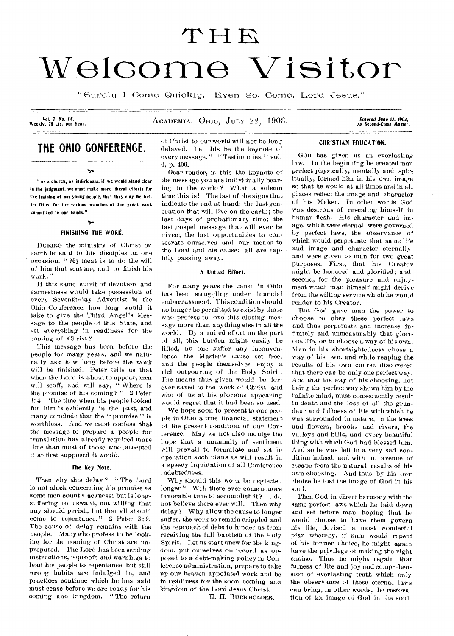# THE Welcome Visitor

"Surely I Come Quickly. Even So, Come, Lord Jesus."

Vol. 7, No. 18.<br>Weekly, 25 cts. per Year.

ACADEMIA, OHIO, JULY 22, 1903.

**THE OHIO GONFERENGE.** 

" As a church, as individuals, if we would stand clear in the judgment, we must make more liberal efforts for the training of our young people, that they may be better fitted for the various branches of the great work committed to our hands."

 $\mathbf{v}_i$ 

### Ÿ. FINISHING THE WORK.

DURING the ministry of Christ on earth he said to his disciples on One occasion, " My meat is to do the will of him that sent me, and to finish his work."

If this same spirit of devotion and earnestness would take possession of every Seventh-day Adventist in the Ohio Conference, how long would it take to give the Third Angel's Message to the people of this State, and set everything in readiness for the coming of Christ ?

This message has been before the people for many years, and we naturally ask how long before the work will be finished. Peter tells us that when the Lord is about to appear, men will scoff, and will say, "Where is the promise of his coming?"  $2$  Peter 3:4. The time when his people looked for him is evidently in the past, and many conclude that the " promise" is worthless. And we must confess that the message to prepare a people for translation has already required more time than most of those who . accepted it at first supposed it would.

### The Key Note.

Then why this delay? "The Lord is not slack concerning his promise as some men count slackness; but is longsuffering to usward, not willing that any should perish, but that all should come to repentance." 2 Peter 3:9. The cause of delay remains with the people. Many who profess to be looking for the coming of Christ are unprepared. The Lord has been sending instructions, reproofs and warnings to lead his people to repentance, but still wrong habits are indulged in, and practices continue which he has said must cease before we are ready for his coming and kingdom. " The return of Christ to our world will not be long delayed. Let this be the keynote of every message." "Testimonies," vol. 6, p. 406.

Dear reader, is this the keynote of the message you are individually bearing to the world ? What a solemn time this is! The last of the signs that indicate the end at hand; the last generation that will live on the earth; the last days of probationary time; the last gospel message that will ever be given; the last opportunities to consecrate ourselves and our means to the Lord and his cause; all are rapidly passing away.

### A United Effort.

For many years the cause in Ohio has been struggling under financial embarrassment. This condition should no longer be permitted to exist by those who profess to love this closing message more than anything else in all the world. By a united effort on the part of all, this burden might easily be lifted, no one suffer any inconvenience, the Master's cause set free, and the people themselves enjoy a rich outpouring of the Holy Spirit. The means thus *given* would be forever saved to the work of Christ, and who of us at his glorious appearing would regret that it had been so used.

We hope soon to present to our people in Ohio a true financial statement of the present condition of our Conference. May we not also indulge the hope that a unanimity of sentiment will prevail to formulate and set in operation such plans as will result in a speedy liquidation of all Conference indebtedness.

Why should this work be neglected longer? Will there ever come a more favorable time to accomplish it? I do not believe there ever will. Then why delay ? Why allow the cause to longer suffer, the work to remain crippled and the reproach of debt to hinder us from *receiving* the full baptism of the Holy Spirit. Let us start anew for the kingdom, put ourselves on record as opposed to a debt-making policy in Conference administration, prepare to take up our heaven appointed work and be in readiness for the soon coming and kingdom of the Lord Jesus Christ.

H. H. BURKHOLDER.

Entered June 12, 1903,<br>As Second•Class Matter.

### CHRISTIAN EDUCATION.

GOD has given us an everlasting law. In the beginning he created man perfect physically, mentally and spiritually, formed him in his own image so that he would at all times and in all places reflect the image and character of his Maker. In other words God was desirous of revealing himself in human flesh. His character and image, which were eternal, were governed by perfect laws, the observance of which would perpetuate that same life and image and character eternally, and were given to man for two great purposes. First, that his Creator might be honored and glorified; and, second, for the pleasure and enjoyment which man himself might derive from the willing service which he would render to his Creator.

But God gave man the power to choose to obey these perfect laws and thus perpetuate and increase infinitely and unmeasurably that glorious life, or to choose a way of his own. Man in his shortsightedness chose a way of his own, and while reaping the results of his own course discovered that there can be only one perfect way. And that the way of his choosing, not being the perfect way shown him by the infinite mind, must consequently result in death and the loss of all the grandeur and fullness of life with which he was surrounded in nature, in the trees and flowers, brooks and rivers, the valleys and hills, and every beautiful thing with which God had blessed him. And so he was lett in a very sad condition indeed, and with no avenue of escape from the natural results of his own choosing. And thus by his own choice he lost the image of God in his soul.

Then God in direct harmony with the same perfect laws which he laid down and set before man, hoping that he would choose to have them govern his life, devised a most wonderful plan whereby, if man would repent of his former choice, he might again have the privilege of making the right choice. Thus he might regain that fulness of life and joy and comprehension of everlasting truth which only the observance of these eternal laws can bring, in other words, the restoration of the image of God in the soul.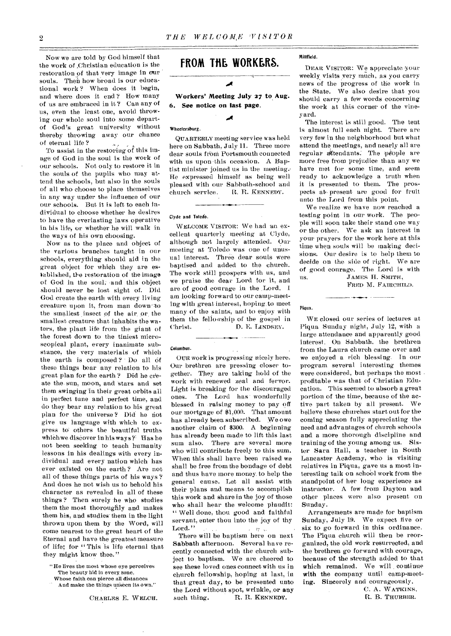Now we are told by God himself that the work of ,Christian education is the restoration of that very image in our souls. Then how broad is our educational work ? When does it begin, and where does it end ? How many of us are embraced in it ? Can any of us, even the least one, avoid throwing our whole soul into some departof God's great university without thereby throwing away our chance of eternal life ?

To assist in the restoring of this image of God in the soul is the work of our schools. Not only to restore it in the souls of the pupils who may attend the schools, but also in the souls of all who choose to place themselves in any way under the influence of our our schools. But it is left to each individual to choose whether he desires to have the everlasting laws operative in his life, or whether he will walk in the ways of his own choosing.

Now as to the place and object of the various branches taught in our schools, everything should aid in the great object for which they are esiablished, the restoration of the image of God in the soul; 'and this object should never be lost sight of. Did God create the earth with every living creature upon it, from man down' to the smallest insect of the air or, the smallest creature that inhabits the waters, the plant life from the giant of the forest down to the tiniest microscopical plant, every inanimate substance, the very materials of which the earth is composed? Do all of these things bear any relation to his great plan for the earth ? Did he create the sun, moon, and stars and set them swinging in their great orbits all in perfect tune and perfect time, and do they bear any relation to his great plan for the universe? Did he not give us language with which to express to others the beautiful truths which we discover in his ways?' Has he not been seeking to teach humanity lessons in his dealings with every individual and every nation which has ever existed on the earth ? Are not all of these things parts of his ways ? And does he not wish us to behold his character as revealed in all of these things? Then surely he who studies them the most thoroughly and makes them his, and studies them in the light thrown upon them by the Word, will come nearest to the great heart of the Eternal and have the greatest measure of life; for " This is life eternal that they might know thee."

- "He lives the most whose eye perceives The beauty hid in every zone,
- Whose faith can pierce all distances
- And make the things unseen its own."

## **FROM THE WORKERS.**

### **Workers' Meeting July 27 to Aug. 6. See notice on last page.**

Á

### Wheelersburg.

QUARTERLY meeting service was held here on Sabbath, July 11. Three more dear souls front Portsmouth connected with us upon this occasion. A Baptist minister joined us in the meeting. He expressed himself as being well pleased with our Sabbath-school and church service. R. R. KENNEDY.

### Clyde arid Toledo.

WELCOME VISITOR: We had an excellent quarterly meeting at Clyde, although not largely attended. Our meeting at Toledo was one of unusual interest. Three dear souls were baptised and added to the church. The work still prospers with us, and we praise the dear Lord for it, and are of good courage in the Lord. I am looking forward to our camp-meeting with great interest, hoping. to meet many of the saints, and to enjoy with them the fellowship of the gospel in Christ. D. E. LINDSEY.

### Columbus.

OUR work is progressing nicely here. Our brethren are pressing closer together. They are taking hold of the work with renewed zeal and fervor. Light is breaking for the discouraged ones. The Lord has' wonderfully blessed in raising money to pay off our mortgage of \$1,000. That amount has already been subscribed. We owe another .claim of \$300. A beginning has already been made to lift this last sum also. There are several more who will contribute freely to this sum. When this shall have been raised we shall be free from the bondage of debt and thus have more money. to help the general cause. Let all assist with their plans and\_ means .to accomplish this work and share in the joy of those who shall hear the welcome plaudit: " Well done, thou good and faithful servant, enter thou into the joy of thy Lord."  $x = 35 - x$ 

There will be baptism here on next Sabbath afternoon. Several have recently connected with the church subject to, baptism. We are. cheered to see these loved ones connect with us in church fellowship, hoping at last, in that great day, to be presented unto the Lord without spot, wrinkle, or any such thing. R. R. KENNEDY.

### Millfield.

DEAR VISITOR: We appreciate your weekly visits very much, as you carry news of the progress of the work in the State. We also desire that you should carry a few words concerning the work at this corner of the vineyard.

The interest is still good. The tent is almost full each night. There are very few in the neighborhood but what attend the meetings, and nearly all are regular attendants. The people are more free from prejudice than any we have met for some time, and seem ready to acknowledge a truth when it is presented to them. The prospects at present are good for fruit unto the Lord from this point.

We realize we have now reached a testing point in our work. The people will soon take their stand one way or the other. We ask an interest in your prayers for the work here at this time when souls will be making decisions.. Our desire is to help them to decide on the side of right. We are of good courage. The Lord is with us. JAMES H. SMITH,

FRED M. FAIRCHILD.

### Piqua.

WE closed our series of lectures at Piqua Sunday night, July 12, with a large attendance and apparently good interest. On Sabbath, the brethren from the Laura church came over and we enjoyed a rich blessing. In our program several interesting themes were considered, but perhaps the most profitable was that of Christian Education. This seemed to absorb a great portion of the time, because of the active part taken by all present. We believe these churches start out for the coming season fully appreciating the need and advantages of church schools and a more thorough discipline and training of the young among us. Sister Sara Hall, a teacher in South Lancaster Academy, who is visiting relatives in Piqua, gave us a most interesting talk on school work from the standpoint of her long experience as instructor. A few from Dayton and other places were also present on Sunday.

Arrangements are made for baptism Sunday, July 19. We expect five or six to go forward in this ordinance. The Piqua church will then be reorganized, the old work resurrected, and the brethren go forward with courage, because of the strength added to that which remained. We will continue **with** the company until camp-meeting, Sincerely and courageously.

> C. A. WATKINS, R. B. THURBER.

CHARLES E. WELCH.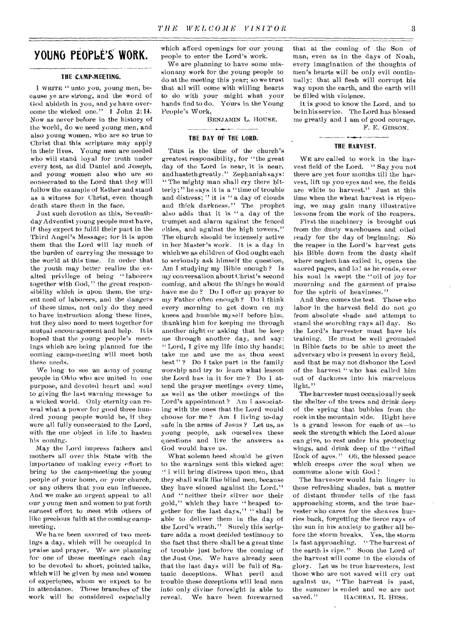# **YOUNG PEOPLE'S WORK.**

### **THE CAMP-MEETING.**

1. WRITE " unto you, young men, because ye are strong, and the word of God abideth in you, and ye have overcome the wicked one." 1 John 2:14. Now as never before in the history of the world, do we need young men, and also young women, who are so true to Christ that this scripture may apply in their lives. Young men are needed who will stand loyal for truth under every test, as did Daniel and Joseph, and young women also who are so consecrated to the Lord that they will follow the example of Esther and stand as a witness for Christ, even though death stare them in the face.

Just such devotion as this, Seventhday Adventist young people must have, if they expect to fulfil their part in the Third Angel's Message; for it is upon them that the Lord will lay much of the burden of carrying the message to the world at this time. In order that the youth may better realize the exalted privilege of being "laborers together with God," the great responsibility which is upon them, the urgent need of laborers, and the dangers of these times, not only do they need to have instruction along these lines, but they also need to meet together for mutual encouragement and help. It is hoped that the young people's meetings which are being planned for the coming camp-meeting will meet both these needs.

We long to see an army of young people in Ohio who are united in one purpose, and devoted heart and soul to *giving* the last warning message to a wicked world. Only eternity can reveal what a power for good three hundred young people would be, it they were all fully consecrated to the Lord, with the one object in life to hasten his coming.

May the Lord impress fathers and mothers all over this State with the importance of making every effort to bring to the camp-meeting the young people of your home, or your church, or any others that you can influence. And we make an urgent appeal to all our young men and women to put forth earnest effort to meet with others of like precious faith at the coming campmeeting.

We have been assured of two meetings a day, which will be occupied in praise and. prayer. We are planning for one of these meetings each day to be devoted to short, pointed talks, which will be given by men and women of experience, whom we expect to be in attendance. Those branches of the work will be considered especially

which afford openings for our young people to enter the Lord's work.

We are planning to have some missionany work for the young people to do at the meeting this year; so we trust that all will come with willing hearts to do with your 'might what your hands find to do. Yours in the Young People's Work,

BENJAMIN L. HOUSE.

### **THE DAY OF THE LORD.**

THIS is the time of the church's greatest responsibility, for "the great day of the Lord is near, it is near, and hasteth greatly ." Zephaniah says: " The mighty man shall cry there bitterly;" he says it is a "time of trouble and distress; " it is " a day of clouds and thick darkness." The prophet also adds that it is " a day of the trumpet and alarm against the fenced cities, and against the high towers," The church should be intensely active in her Master's work. It is a day in which we as children of God ought each to seriously ask himself the question, Am T studying my Bible enough ? Is my conversation about Christ's second coming, and about the things he would have me do? Do I offer up prayer to my Father often enough ? Do 1 think every morning to get down on my knees and humble myself before him, thanking him for keeping me through another night or asking that he keep me through another day, and say: "Lord, I give my life into thy hands; take me and use me as thou seest best"? Do I take part in the family worship and try to learn what lesson the Lord has in it for me ? Do I attend the prayer meetings every time, as well as the other meetings of the Lord's appointment ? Am I associating with the ones that the Lord would choose for me ? Am 1 living to-day safe in the arms of Jesus ? Let us, as young people, ask ourselves these questions and live the answers as God would have us.

What solemn heed should be given to the warnings sent this wicked age: " I will bring distress upon men, that they shall walk like blind men, because they have sinned against the Lord." And "neither their silver nor their gold," which they have " heaped together for the last days," " shall be able to deliver them in the day of the Lord's wrath." Surely this 'scripture adds a most decided testimony to the fact that there shall be a great time of trouble just before the coming of the Just One. We have already seen that the last days will be full of Satanic deceptions. What peril and trouble these deceptions will lead men into only divine foresight is able to reveal. We have been forewarned

that at the coming of the Son of man, even as in the days of Noah, every imagination of the thoughts of men's hearts will be only evil continually; that all flesh will corrupt his way upon the earth, and the earth will be filled with violence.

It is good to know the Lord, and to be in his service. The Lord has blessed me greatly and I am of good courage. F. E. GIBSON.

### **THE HARVEST.**

WE are called to work in the harvest field of the Lord. " Say you not there are,yet four months till the harvest, lift up you eyes and see, the fields are white to harvest." Just at this time when the wheat harvest is ripening, we may gain many illustrative lessons from the work of the reapers.

First the machinery is brought out from the dusty warehouses and oiled ready for the day of beginning. Sò the reaper in the Lord's harvest gets his Bible down from the dusty shelf where neglect has exiled it, opens the sacred pages, and lo ! as he reads, over his soul is swept the "oil of joy for mourning and the garment of praise for the spirit of heaviness."

And then comes the test. Those who labor in the harvest field do not go from absolute shade and attempt to stand the scorching rays all day. So the Lord's harvester must have his training. He must be well grounded in Bible facts to be able to meet the adversary who is present in every field, and that he may not dishonor the Lord of the harvest " who has called him out of darkness into his marvelous light."

The harvester must occasionally seek the shelter of the trees and drink deep of the spring that bubbles from the rock in the mountain side. Right here is a grand lesson for each of us—to seek the strength which the Lord alone can give, to rest under his protecting wings, and drink deep of the "rifted Rock of ages." Oh, the blessed peace which creeps over the soul when we commune alone with God !

The harvester would fain linger in these refreshing shades, but a mutter of distant thunder tells of the fast approaching storm, and the true harvester who cares for the sheaves hurries back, forgetting the fierce rays of the sun in his anxiety to gather all before the storm breaks. Yes, the storm is fast approaching. "The harvest of the earth is ripe." Soon the Lord of the harvest will come in the clouds of glory. Let us be true harvesters, lest those who are not saved will cry out against us, "The harvest is past, the summer is ended and we are not saved." RACHEAL R. HESS. RACHEAL R. HESS.